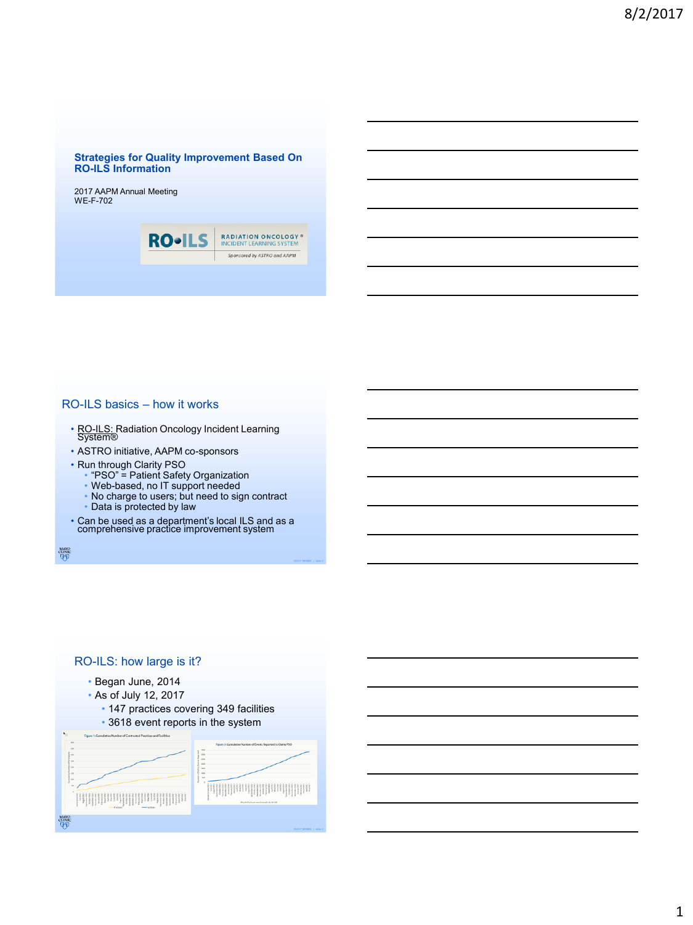#### **Strategies for Quality Improvement Based On RO-ILS Information**

2017 AAPM Annual Meeting WE-F-702

| <b>RO</b> - | <b>RADIATION ONCOLOGY®</b><br><b>INCIDENT LEARNING SYSTEM</b> |
|-------------|---------------------------------------------------------------|
|             | Sponsored by ASTRO and AAPM                                   |
|             |                                                               |

### RO-ILS basics – how it works

- RO-ILS: Radiation Oncology Incident Learning<br>System®
- ASTRO initiative, AAPM co-sponsors
- Run through Clarity PSO

 $\begin{array}{c}\text{MAYO}\\\text{CLINIC}\\\hline \text{QFD}\end{array}$ 

- "PSO" = Patient Safety Organization
- Web-based, no IT support needed
- No charge to users; but need to sign contract
- Data is protected by law
- Can be used as a department's local ILS and as a comprehensive practice improvement system